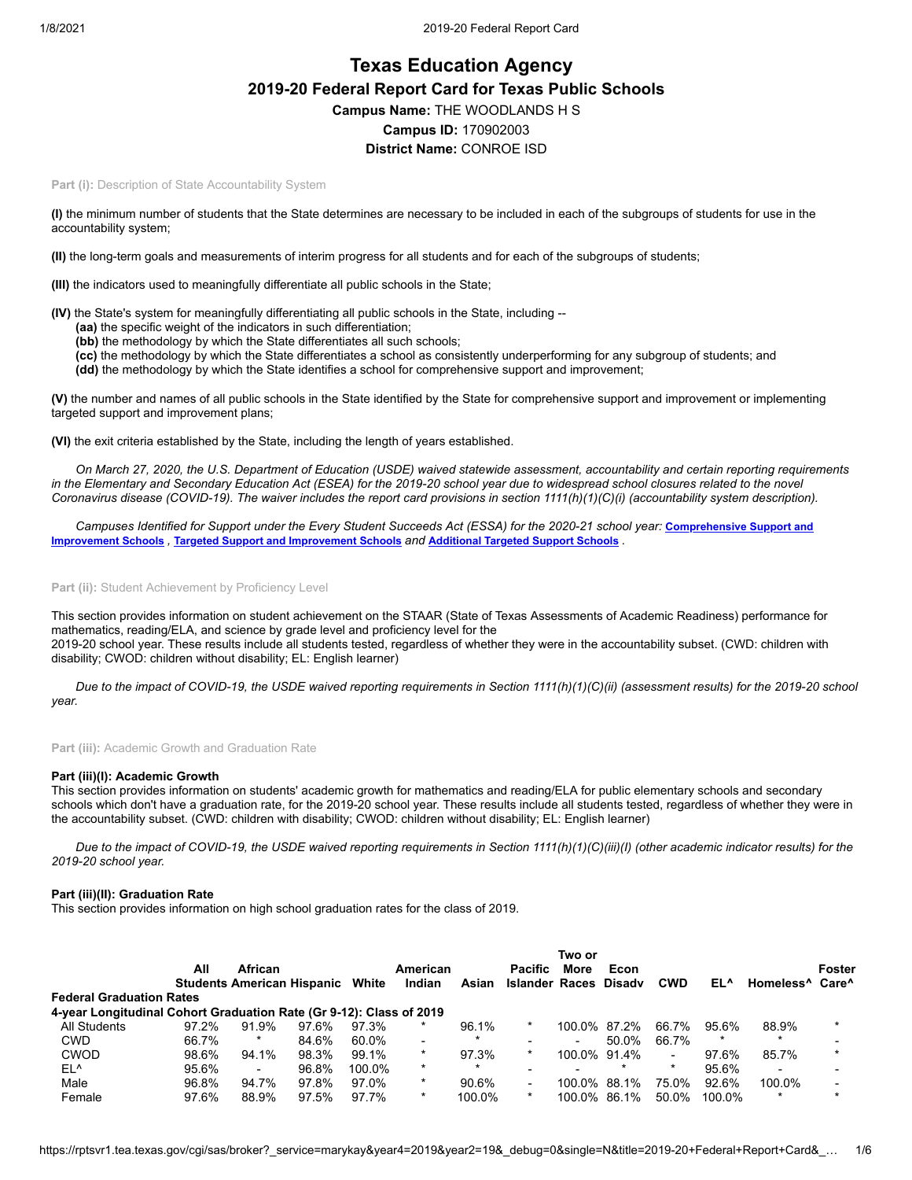# **Texas Education Agency 2019-20 Federal Report Card for Texas Public Schools Campus Name:** THE WOODLANDS H S **Campus ID:** 170902003 **District Name:** CONROE ISD

Part (i): Description of State Accountability System

**(I)** the minimum number of students that the State determines are necessary to be included in each of the subgroups of students for use in the accountability system;

**(II)** the long-term goals and measurements of interim progress for all students and for each of the subgroups of students;

**(III)** the indicators used to meaningfully differentiate all public schools in the State;

**(IV)** the State's system for meaningfully differentiating all public schools in the State, including --

- **(aa)** the specific weight of the indicators in such differentiation;
- **(bb)** the methodology by which the State differentiates all such schools;
- **(cc)** the methodology by which the State differentiates a school as consistently underperforming for any subgroup of students; and

**(dd)** the methodology by which the State identifies a school for comprehensive support and improvement;

**(V)** the number and names of all public schools in the State identified by the State for comprehensive support and improvement or implementing targeted support and improvement plans;

**(VI)** the exit criteria established by the State, including the length of years established.

*On March 27, 2020, the U.S. Department of Education (USDE) waived statewide assessment, accountability and certain reporting requirements in the Elementary and Secondary Education Act (ESEA) for the 2019-20 school year due to widespread school closures related to the novel Coronavirus disease (COVID-19). The waiver includes the report card provisions in section 1111(h)(1)(C)(i) (accountability system description).*

*[Campuses Identified for Support under the Every Student Succeeds Act \(ESSA\) for the 2020-21 school year:](https://tea.texas.gov/sites/default/files/comprehensive_support_2020.xlsx)* **Comprehensive Support and Improvement Schools** *,* **Targeted Support and [Improvement](https://tea.texas.gov/sites/default/files/targeted_support_2020.xlsx) Schools** *and* **[Additional](https://tea.texas.gov/sites/default/files/additional_targeted_support_2020.xlsx) Targeted Support Schools** *.*

Part (ii): Student Achievement by Proficiency Level

This section provides information on student achievement on the STAAR (State of Texas Assessments of Academic Readiness) performance for mathematics, reading/ELA, and science by grade level and proficiency level for the 2019-20 school year. These results include all students tested, regardless of whether they were in the accountability subset. (CWD: children with disability; CWOD: children without disability; EL: English learner)

*Due to the impact of COVID-19, the USDE waived reporting requirements in Section 1111(h)(1)(C)(ii) (assessment results) for the 2019-20 school year.*

**Part (iii):** Academic Growth and Graduation Rate

### **Part (iii)(I): Academic Growth**

This section provides information on students' academic growth for mathematics and reading/ELA for public elementary schools and secondary schools which don't have a graduation rate, for the 2019-20 school year. These results include all students tested, regardless of whether they were in the accountability subset. (CWD: children with disability; CWOD: children without disability; EL: English learner)

*Due to the impact of COVID-19, the USDE waived reporting requirements in Section 1111(h)(1)(C)(iii)(I) (other academic indicator results) for the 2019-20 school year.*

### **Part (iii)(II): Graduation Rate**

This section provides information on high school graduation rates for the class of 2019.

|                                                                     |                       |                          |                                   |          |                          |        |                          |              | Two or  |            |         |                                         |         |  |
|---------------------------------------------------------------------|-----------------------|--------------------------|-----------------------------------|----------|--------------------------|--------|--------------------------|--------------|---------|------------|---------|-----------------------------------------|---------|--|
|                                                                     | <b>African</b><br>All |                          |                                   | American |                          |        | <b>Pacific</b>           |              | Econ    |            |         |                                         | Foster  |  |
|                                                                     |                       |                          | <b>Students American Hispanic</b> | White    | Indian                   | Asian  | Islander Races Disady    |              |         | <b>CWD</b> | EL^     | Homeless <sup>^</sup> Care <sup>^</sup> |         |  |
| <b>Federal Graduation Rates</b>                                     |                       |                          |                                   |          |                          |        |                          |              |         |            |         |                                         |         |  |
| 4-year Longitudinal Cohort Graduation Rate (Gr 9-12): Class of 2019 |                       |                          |                                   |          |                          |        |                          |              |         |            |         |                                         |         |  |
| All Students                                                        | 97.2%                 | 91.9%                    | 97.6%                             | 97.3%    | $\star$                  | 96.1%  | *                        | 100.0% 87.2% |         | 66.7%      | 95.6%   | 88.9%                                   |         |  |
| <b>CWD</b>                                                          | 66.7%                 | $\star$                  | 84.6%                             | 60.0%    | $\overline{\phantom{a}}$ |        | $\overline{\phantom{0}}$ |              | 50.0%   | 66.7%      | $\star$ | $\ast$                                  |         |  |
| <b>CWOD</b>                                                         | 98.6%                 | 94.1%                    | 98.3%                             | 99.1%    | $\star$                  | 97.3%  | $\star$                  | 100.0% 91.4% |         | $\sim$     | 97.6%   | 85.7%                                   |         |  |
| EL <sup>^</sup>                                                     | 95.6%                 | $\overline{\phantom{a}}$ | 96.8%                             | 100.0%   | $\star$                  |        | $\overline{\phantom{a}}$ |              | $\star$ | $\star$    | 95.6%   | $\overline{\phantom{0}}$                |         |  |
| Male                                                                | 96.8%                 | 94.7%                    | 97.8%                             | 97.0%    | $\star$                  | 90.6%  | $\sim$                   | 100.0% 88.1% |         | 75.0%      | 92.6%   | 100.0%                                  |         |  |
| Female                                                              | 97.6%                 | 88.9%                    | 97.5%                             | 97.7%    | $\star$                  | 100.0% | $\ast$                   | 100.0%       | 86.1%   | 50.0%      | 100.0%  | $\ast$                                  | $\star$ |  |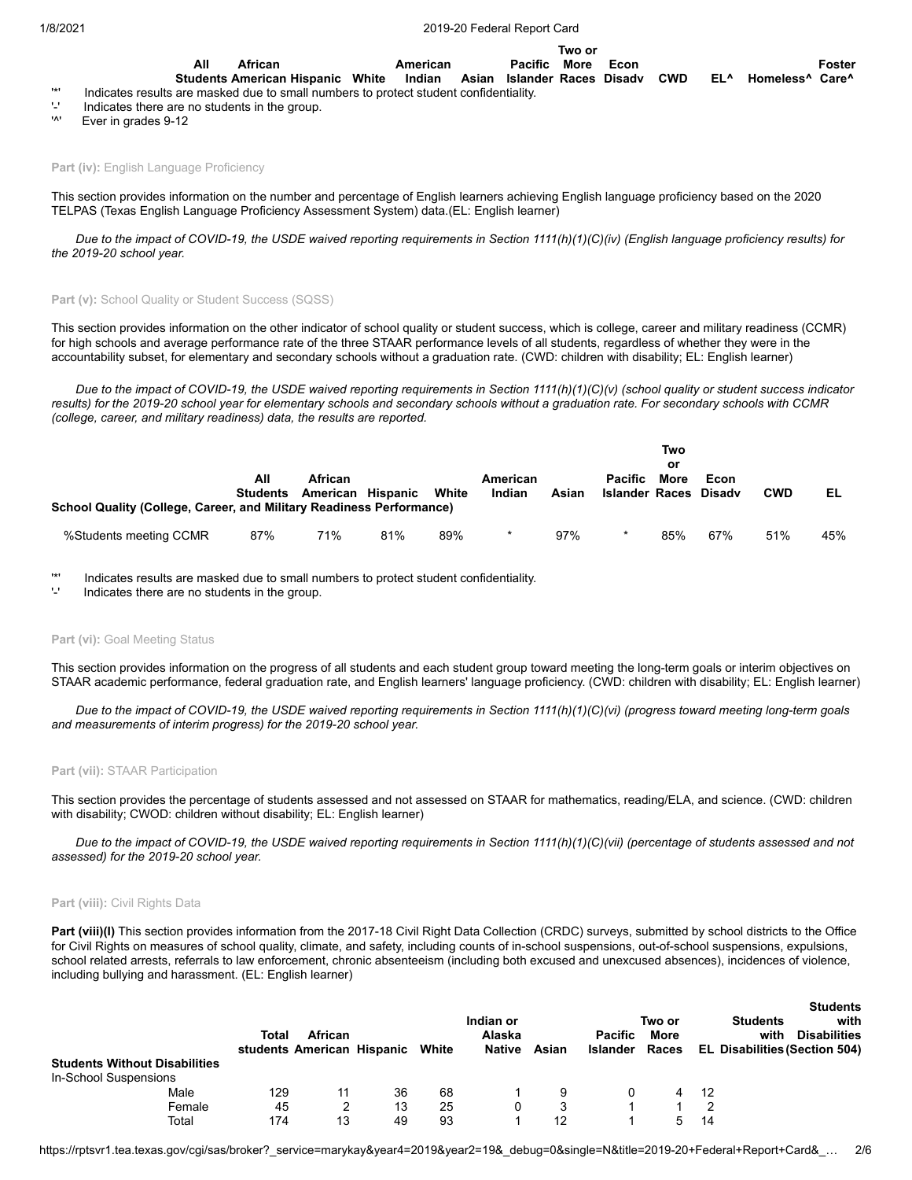1/8/2021 2019-20 Federal Report Card

**All Students American Hispanic White African American Indian Asian Islander Races Pacific More Econ Two or Disadv CWD EL^ Homeless^ Care^ Foster**

- '\*' Indicates results are masked due to small numbers to protect student confidentiality.
- $'$ -' Indicates there are no students in the group.<br>'<sup>N'</sup> Ever in grades  $0.12$

Ever in grades 9-12

**Part (iv): English Language Proficiency** 

This section provides information on the number and percentage of English learners achieving English language proficiency based on the 2020 TELPAS (Texas English Language Proficiency Assessment System) data.(EL: English learner)

*Due to the impact of COVID-19, the USDE waived reporting requirements in Section 1111(h)(1)(C)(iv) (English language proficiency results) for the 2019-20 school year.*

### Part (v): School Quality or Student Success (SQSS)

This section provides information on the other indicator of school quality or student success, which is college, career and military readiness (CCMR) for high schools and average performance rate of the three STAAR performance levels of all students, regardless of whether they were in the accountability subset, for elementary and secondary schools without a graduation rate. (CWD: children with disability; EL: English learner)

*Due to the impact of COVID-19, the USDE waived reporting requirements in Section 1111(h)(1)(C)(v) (school quality or student success indicator results) for the 2019-20 school year for elementary schools and secondary schools without a graduation rate. For secondary schools with CCMR (college, career, and military readiness) data, the results are reported.*

| School Quality (College, Career, and Military Readiness Performance) | All<br>Students | <b>African</b><br>American Hispanic |     | White | American<br>Indian | Asian | <b>Pacific</b><br><b>Islander Races</b> | Two<br>or<br>More | Econ<br>Disadv | <b>CWD</b> | EL  |
|----------------------------------------------------------------------|-----------------|-------------------------------------|-----|-------|--------------------|-------|-----------------------------------------|-------------------|----------------|------------|-----|
| %Students meeting CCMR                                               | 87%             | 71%                                 | 81% | 89%   |                    | 97%   |                                         | 85%               | 67%            | 51%        | 45% |

'\*' Indicates results are masked due to small numbers to protect student confidentiality.

Indicates there are no students in the group.

#### Part (vi): Goal Meeting Status

This section provides information on the progress of all students and each student group toward meeting the long-term goals or interim objectives on STAAR academic performance, federal graduation rate, and English learners' language proficiency. (CWD: children with disability; EL: English learner)

*Due to the impact of COVID-19, the USDE waived reporting requirements in Section 1111(h)(1)(C)(vi) (progress toward meeting long-term goals and measurements of interim progress) for the 2019-20 school year.*

### **Part (vii):** STAAR Participation

This section provides the percentage of students assessed and not assessed on STAAR for mathematics, reading/ELA, and science. (CWD: children with disability; CWOD: children without disability; EL: English learner)

*Due to the impact of COVID-19, the USDE waived reporting requirements in Section 1111(h)(1)(C)(vii) (percentage of students assessed and not assessed) for the 2019-20 school year.*

### **Part (viii):** Civil Rights Data

Part (viii)(I) This section provides information from the 2017-18 Civil Right Data Collection (CRDC) surveys, submitted by school districts to the Office for Civil Rights on measures of school quality, climate, and safety, including counts of in-school suspensions, out-of-school suspensions, expulsions, school related arrests, referrals to law enforcement, chronic absenteeism (including both excused and unexcused absences), incidences of violence, including bullying and harassment. (EL: English learner)

|                                                               | Total | African                    |    |       | Indian or<br>Alaska |       | <b>Pacific</b>  | Two or<br>More |    | <b>Students</b><br>with<br><b>Students</b><br><b>Disabilities</b><br>with |
|---------------------------------------------------------------|-------|----------------------------|----|-------|---------------------|-------|-----------------|----------------|----|---------------------------------------------------------------------------|
| <b>Students Without Disabilities</b><br>In-School Suspensions |       | students American Hispanic |    | White | Native              | Asian | <b>Islander</b> | Races          |    | <b>EL Disabilities (Section 504)</b>                                      |
| Male                                                          | 129   | 11                         | 36 | 68    |                     |       |                 |                | 12 |                                                                           |
| Female                                                        | 45    |                            | 13 | 25    |                     |       |                 |                |    |                                                                           |
| Total                                                         | 174   | 13                         | 49 | 93    |                     | 12    |                 |                | 14 |                                                                           |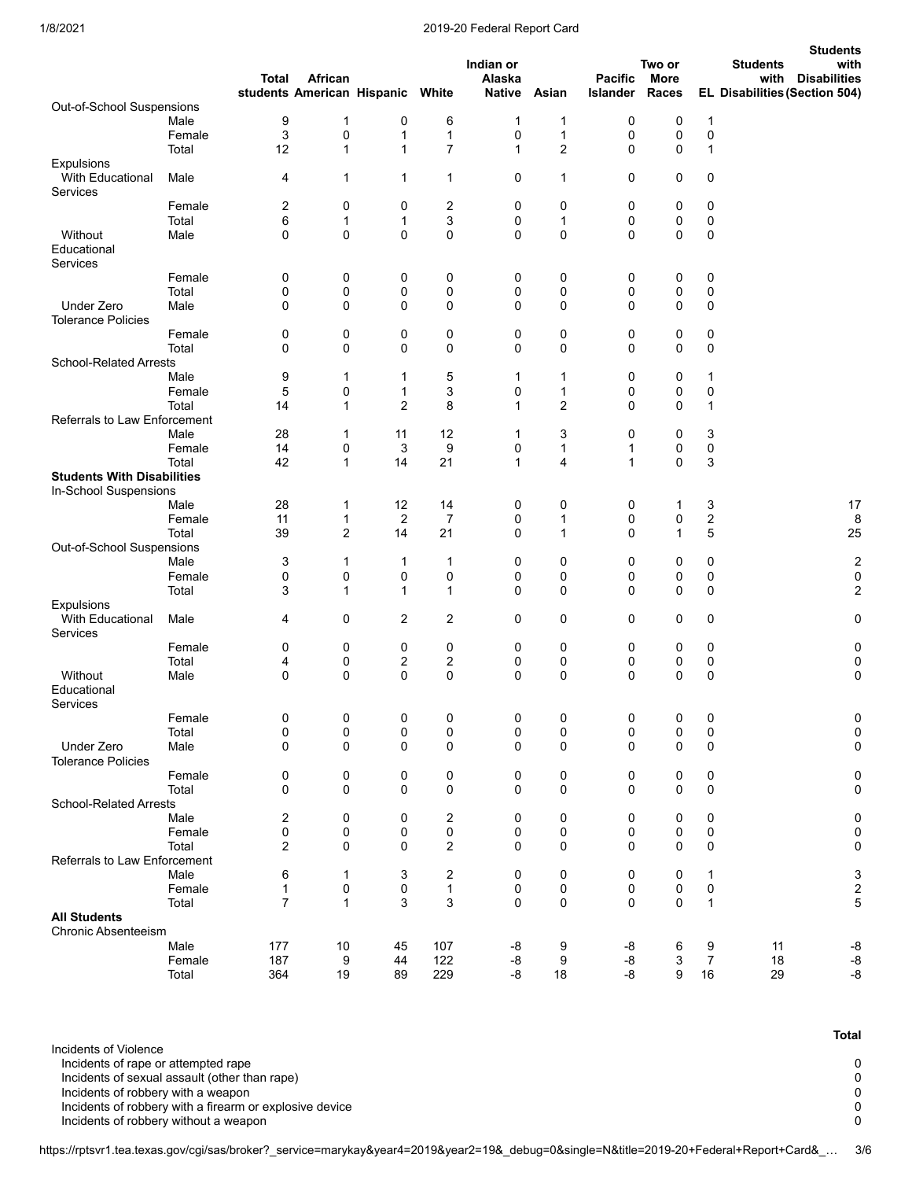### 1/8/2021 2019-20 Federal Report Card

|                                       |        |                |                                       |                         |                |                         |             |                            |                      |                  | <b>Students</b>                                              |
|---------------------------------------|--------|----------------|---------------------------------------|-------------------------|----------------|-------------------------|-------------|----------------------------|----------------------|------------------|--------------------------------------------------------------|
|                                       |        |                |                                       |                         |                | Indian or               |             |                            | Two or               |                  | with<br><b>Students</b>                                      |
|                                       |        | Total          | African<br>students American Hispanic |                         | White          | Alaska<br><b>Native</b> | Asian       | <b>Pacific</b><br>Islander | <b>More</b><br>Races |                  | <b>Disabilities</b><br>with<br>EL Disabilities (Section 504) |
| Out-of-School Suspensions             |        |                |                                       |                         |                |                         |             |                            |                      |                  |                                                              |
|                                       | Male   | 9              | 1                                     | 0                       | 6              | 1                       | 1           | 0                          | 0                    | $\mathbf{1}$     |                                                              |
|                                       | Female | 3              | 0                                     | 1                       | $\mathbf 1$    | 0                       | 1           | 0                          | 0                    | 0                |                                                              |
|                                       | Total  | 12             | 1                                     | $\mathbf{1}$            | $\overline{7}$ | $\mathbf{1}$            | 2           | $\mathbf 0$                | 0                    | $\mathbf 1$      |                                                              |
| <b>Expulsions</b><br>With Educational | Male   | 4              | 1                                     | $\mathbf{1}$            | $\mathbf{1}$   | 0                       | 1           | $\mathbf 0$                | 0                    | 0                |                                                              |
| Services                              |        |                |                                       |                         |                |                         |             |                            |                      |                  |                                                              |
|                                       | Female | 2              | 0                                     | 0                       | 2              | 0                       | 0           | 0                          | 0                    | 0                |                                                              |
|                                       | Total  | 6              | 1                                     | $\mathbf{1}$            | 3              | 0                       | 1           | 0                          | 0                    | 0                |                                                              |
| Without                               | Male   | 0              | 0                                     | 0                       | 0              | 0                       | $\mathbf 0$ | 0                          | 0                    | 0                |                                                              |
| Educational<br>Services               |        |                |                                       |                         |                |                         |             |                            |                      |                  |                                                              |
|                                       | Female | 0              | 0                                     | 0                       | 0              | 0                       | 0           | 0                          | 0                    | 0                |                                                              |
|                                       | Total  | 0              | 0                                     | 0                       | 0              | 0                       | 0           | 0                          | 0                    | 0                |                                                              |
| Under Zero                            | Male   | 0              | 0                                     | $\mathbf 0$             | 0              | 0                       | $\mathbf 0$ | 0                          | $\mathbf 0$          | 0                |                                                              |
| <b>Tolerance Policies</b>             |        |                |                                       |                         |                |                         |             |                            |                      |                  |                                                              |
|                                       | Female | 0              | 0                                     | 0                       | 0              | 0                       | 0           | 0                          | 0                    | 0                |                                                              |
|                                       | Total  | 0              | 0                                     | 0                       | 0              | 0                       | $\pmb{0}$   | 0                          | 0                    | 0                |                                                              |
| <b>School-Related Arrests</b>         |        |                |                                       |                         |                |                         |             |                            |                      |                  |                                                              |
|                                       | Male   | 9              | 1                                     | 1                       | 5              | 1                       | 1           | 0                          | 0                    | 1                |                                                              |
|                                       | Female | 5              | 0                                     | 1                       | 3              | 0                       | 1           | 0                          | 0                    | 0                |                                                              |
|                                       | Total  | 14             | 1                                     | $\overline{2}$          | 8              | $\mathbf{1}$            | 2           | $\mathbf 0$                | 0                    | 1                |                                                              |
| Referrals to Law Enforcement          |        |                |                                       |                         |                |                         |             |                            |                      |                  |                                                              |
|                                       | Male   | 28             | 1                                     | 11                      | 12             | 1                       | 3           | 0                          | 0                    | 3                |                                                              |
|                                       | Female | 14             | 0                                     | 3                       | 9              | 0                       | 1           | 1                          | 0                    | 0                |                                                              |
|                                       | Total  | 42             | $\mathbf{1}$                          | 14                      | 21             | $\mathbf{1}$            | 4           | 1                          | 0                    | 3                |                                                              |
| <b>Students With Disabilities</b>     |        |                |                                       |                         |                |                         |             |                            |                      |                  |                                                              |
| In-School Suspensions                 |        |                |                                       |                         |                |                         |             |                            |                      |                  |                                                              |
|                                       | Male   | 28             | 1                                     | 12                      | 14             | 0                       | 0           | 0                          | 1                    | 3                | 17                                                           |
|                                       | Female | 11             | 1                                     | 2                       | 7              | 0                       | 1           | 0                          | 0                    | $\boldsymbol{2}$ | 8                                                            |
|                                       | Total  | 39             | 2                                     | 14                      | 21             | 0                       | 1           | 0                          | $\mathbf{1}$         | 5                | 25                                                           |
| Out-of-School Suspensions             |        |                |                                       |                         |                |                         |             |                            |                      |                  |                                                              |
|                                       | Male   | 3              | 1                                     | 1                       | $\mathbf{1}$   | 0                       | 0           | 0                          | 0                    | 0                | $\overline{c}$                                               |
|                                       | Female | 0              | 0                                     | 0                       | 0              | 0                       | 0           | 0                          | 0                    | 0                | $\pmb{0}$                                                    |
|                                       | Total  | 3              | 1                                     | $\mathbf{1}$            | $\mathbf{1}$   | $\Omega$                | $\mathbf 0$ | $\mathbf 0$                | 0                    | $\mathbf 0$      | 2                                                            |
| Expulsions                            |        |                |                                       |                         |                |                         |             |                            |                      |                  |                                                              |
| With Educational<br>Services          | Male   | 4              | 0                                     | $\overline{2}$          | $\overline{2}$ | 0                       | 0           | 0                          | 0                    | 0                | 0                                                            |
|                                       | Female | 0              | 0                                     | 0                       | 0              | 0                       | 0           | 0                          | 0                    | 0                | 0                                                            |
|                                       | Total  | 4              | 0                                     | $\overline{\mathbf{c}}$ | 2              | 0                       | $\pmb{0}$   | 0                          | 0                    | 0                | $\pmb{0}$                                                    |
| Without                               | Male   | 0              | 0                                     | $\mathbf 0$             | 0              | 0                       | $\mathbf 0$ | $\mathbf 0$                | 0                    | 0                | $\pmb{0}$                                                    |
| Educational<br>Services               |        |                |                                       |                         |                |                         |             |                            |                      |                  |                                                              |
|                                       | Female | 0              | 0                                     | 0                       | 0              | 0                       | 0           | 0                          | 0                    | 0                | 0                                                            |
|                                       | Total  | 0              | 0                                     | 0                       | 0              | 0                       | 0           | 0                          | 0                    | 0                | 0                                                            |
| Under Zero                            | Male   | 0              | 0                                     | $\mathbf 0$             | 0              | 0                       | 0           | $\mathbf 0$                | 0                    | 0                | $\mathbf 0$                                                  |
| <b>Tolerance Policies</b>             |        |                |                                       |                         |                |                         |             |                            |                      |                  |                                                              |
|                                       | Female | 0              | 0                                     | 0                       | 0              | 0                       | 0           | 0                          | 0                    | 0                | 0                                                            |
|                                       | Total  | 0              | 0                                     | 0                       | 0              | 0                       | 0           | 0                          | $\mathbf 0$          | 0                | 0                                                            |
| <b>School-Related Arrests</b>         |        |                |                                       |                         |                |                         |             |                            |                      |                  |                                                              |
|                                       | Male   | 2              | 0                                     | 0                       | 2              | 0                       | 0           | 0                          | 0                    | 0                | 0                                                            |
|                                       | Female | 0              | 0                                     | 0                       | 0              | 0                       | 0           | 0                          | 0                    | 0                | 0                                                            |
|                                       | Total  | 2              | 0                                     | $\mathbf 0$             | $\overline{2}$ | 0                       | 0           | $\mathbf 0$                | $\mathbf 0$          | 0                | 0                                                            |
| Referrals to Law Enforcement          |        |                |                                       |                         |                |                         |             |                            |                      |                  |                                                              |
|                                       | Male   | 6              | 1                                     | 3                       | 2              | 0                       | 0           | 0                          | 0                    | $\mathbf{1}$     | 3                                                            |
|                                       | Female | 1              | 0                                     | 0                       | $\mathbf{1}$   | 0                       | 0           | 0                          | 0                    | 0                | $\sqrt{2}$                                                   |
|                                       | Total  | $\overline{7}$ | $\mathbf{1}$                          | 3                       | 3              | $\Omega$                | $\mathbf 0$ | 0                          | $\mathbf 0$          | $\mathbf{1}$     | 5                                                            |
| <b>All Students</b>                   |        |                |                                       |                         |                |                         |             |                            |                      |                  |                                                              |
| Chronic Absenteeism                   |        |                |                                       |                         |                |                         |             |                            |                      |                  |                                                              |
|                                       | Male   | 177            | 10                                    | 45                      | 107            | -8                      | 9           | -8                         | 6                    | 9                | -8<br>11                                                     |
|                                       | Female | 187            | 9                                     | 44                      | 122            | -8                      | 9           | -8                         | 3                    | 7                | 18<br>-8                                                     |
|                                       | Total  | 364            | 19                                    | 89                      | 229            | -8                      | 18          | -8                         | 9                    | 16               | $-8$<br>29                                                   |

Incidents of Violence

Incidents of rape or attempted rape 0

Incidents of sexual assault (other than rape)

Incidents of robbery with a weapon of the system of robbery with a weapon of the system of robbery with a firearm or explosive device of the system of the system of  $\sim 0$ Incidents of robbery with a firearm or explosive device device of the control of the control of reduced and the control of the control of the control of reduced and  $\sim 0$ 

Incidents of robbery without a weapon

https://rptsvr1.tea.texas.gov/cgi/sas/broker?\_service=marykay&year4=2019&year2=19&\_debug=0&single=N&title=2019-20+Federal+Report+Card&\_… 3/6

**Total**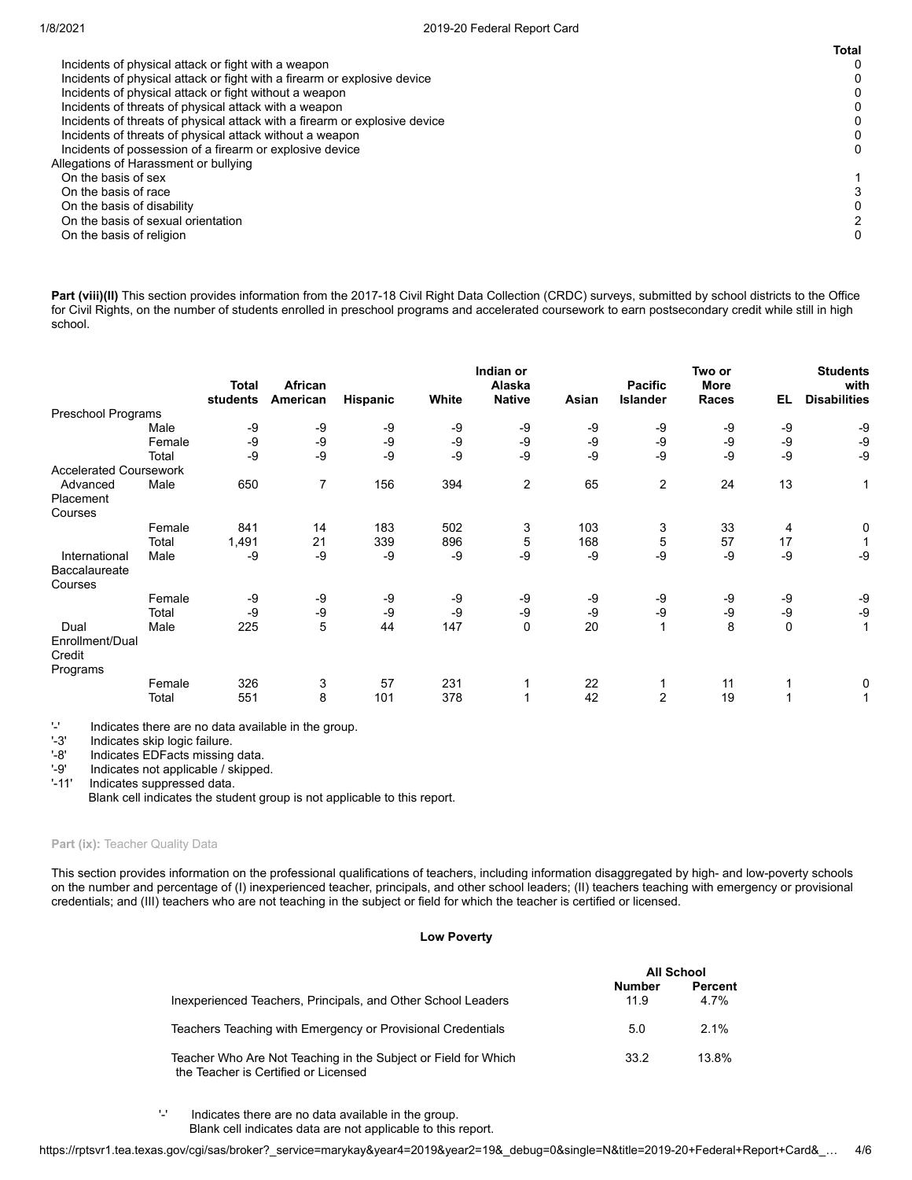|                                                                            | <b>Total</b> |
|----------------------------------------------------------------------------|--------------|
| Incidents of physical attack or fight with a weapon                        |              |
| Incidents of physical attack or fight with a firearm or explosive device   | 0            |
| Incidents of physical attack or fight without a weapon                     | 0            |
| Incidents of threats of physical attack with a weapon                      |              |
| Incidents of threats of physical attack with a firearm or explosive device | 0            |
| Incidents of threats of physical attack without a weapon                   | 0            |
| Incidents of possession of a firearm or explosive device                   | 0            |
| Allegations of Harassment or bullying                                      |              |
| On the basis of sex                                                        |              |
| On the basis of race                                                       |              |
| On the basis of disability                                                 |              |
| On the basis of sexual orientation                                         |              |
| On the basis of religion                                                   | 0            |
|                                                                            |              |

Part (viii)(II) This section provides information from the 2017-18 Civil Right Data Collection (CRDC) surveys, submitted by school districts to the Office for Civil Rights, on the number of students enrolled in preschool programs and accelerated coursework to earn postsecondary credit while still in high school.

|                                       |        | <b>Total</b><br>students | African<br>American | Hispanic | White | Indian or<br>Alaska<br><b>Native</b> | Asian | <b>Pacific</b><br>Islander | Two or<br><b>More</b><br>Races | EL          | <b>Students</b><br>with<br><b>Disabilities</b> |
|---------------------------------------|--------|--------------------------|---------------------|----------|-------|--------------------------------------|-------|----------------------------|--------------------------------|-------------|------------------------------------------------|
| Preschool Programs                    |        |                          |                     |          |       |                                      |       |                            |                                |             |                                                |
|                                       | Male   | -9                       | -9                  | -9       | -9    | -9                                   | -9    | -9                         | -9                             | -9          | -9                                             |
|                                       | Female | -9                       | -9                  | -9       | -9    | -9                                   | $-9$  | -9                         | -9                             | -9          | -9                                             |
|                                       | Total  | -9                       | -9                  | -9       | -9    | -9                                   | $-9$  | -9                         | -9                             | -9          | -9                                             |
| <b>Accelerated Coursework</b>         |        |                          |                     |          |       |                                      |       |                            |                                |             |                                                |
| Advanced<br>Placement                 | Male   | 650                      | 7                   | 156      | 394   | $\overline{2}$                       | 65    | $\overline{\mathbf{c}}$    | 24                             | 13          | 1                                              |
| Courses                               |        |                          |                     |          |       |                                      |       |                            |                                |             |                                                |
|                                       | Female | 841                      | 14                  | 183      | 502   | 3                                    | 103   | 3                          | 33                             | 4           | 0                                              |
|                                       | Total  | 1,491                    | 21                  | 339      | 896   | 5                                    | 168   | 5                          | 57                             | 17          |                                                |
| International                         | Male   | -9                       | -9                  | -9       | -9    | -9                                   | -9    | -9                         | -9                             | -9          | -9                                             |
| Baccalaureate                         |        |                          |                     |          |       |                                      |       |                            |                                |             |                                                |
| Courses                               |        |                          |                     |          |       |                                      |       |                            |                                |             |                                                |
|                                       | Female | -9                       | -9                  | -9       | -9    | -9                                   | -9    | -9                         | -9                             | -9          | -9                                             |
|                                       | Total  | -9                       | -9                  | -9       | -9    | $-9$                                 | -9    | -9                         | -9                             | -9          | -9                                             |
| Dual                                  | Male   | 225                      | 5                   | 44       | 147   | 0                                    | 20    | 1                          | 8                              | $\mathbf 0$ | 1                                              |
| Enrollment/Dual<br>Credit<br>Programs |        |                          |                     |          |       |                                      |       |                            |                                |             |                                                |
|                                       | Female | 326                      | 3                   | 57       | 231   |                                      | 22    |                            | 11                             |             | 0                                              |
|                                       | Total  | 551                      | 8                   | 101      | 378   |                                      | 42    | $\overline{2}$             | 19                             |             |                                                |

'-' Indicates there are no data available in the group.

Indicates skip logic failure.

'-8' Indicates EDFacts missing data.<br>'-9' Indicates not applicable / skipped

'-9' Indicates not applicable / skipped.<br>'-11' Indicates suppressed data.

Indicates suppressed data.

Blank cell indicates the student group is not applicable to this report.

# Part (ix): Teacher Quality Data

This section provides information on the professional qualifications of teachers, including information disaggregated by high- and low-poverty schools on the number and percentage of (I) inexperienced teacher, principals, and other school leaders; (II) teachers teaching with emergency or provisional credentials; and (III) teachers who are not teaching in the subject or field for which the teacher is certified or licensed.

# **Low Poverty**

|                                                                                                        |                | <b>All School</b> |
|--------------------------------------------------------------------------------------------------------|----------------|-------------------|
| Inexperienced Teachers, Principals, and Other School Leaders                                           | Number<br>11.9 | Percent<br>4.7%   |
| Teachers Teaching with Emergency or Provisional Credentials                                            | 5.0            | $2.1\%$           |
| Teacher Who Are Not Teaching in the Subject or Field for Which<br>the Teacher is Certified or Licensed | 33.2           | 13.8%             |

'-' Indicates there are no data available in the group. Blank cell indicates data are not applicable to this report.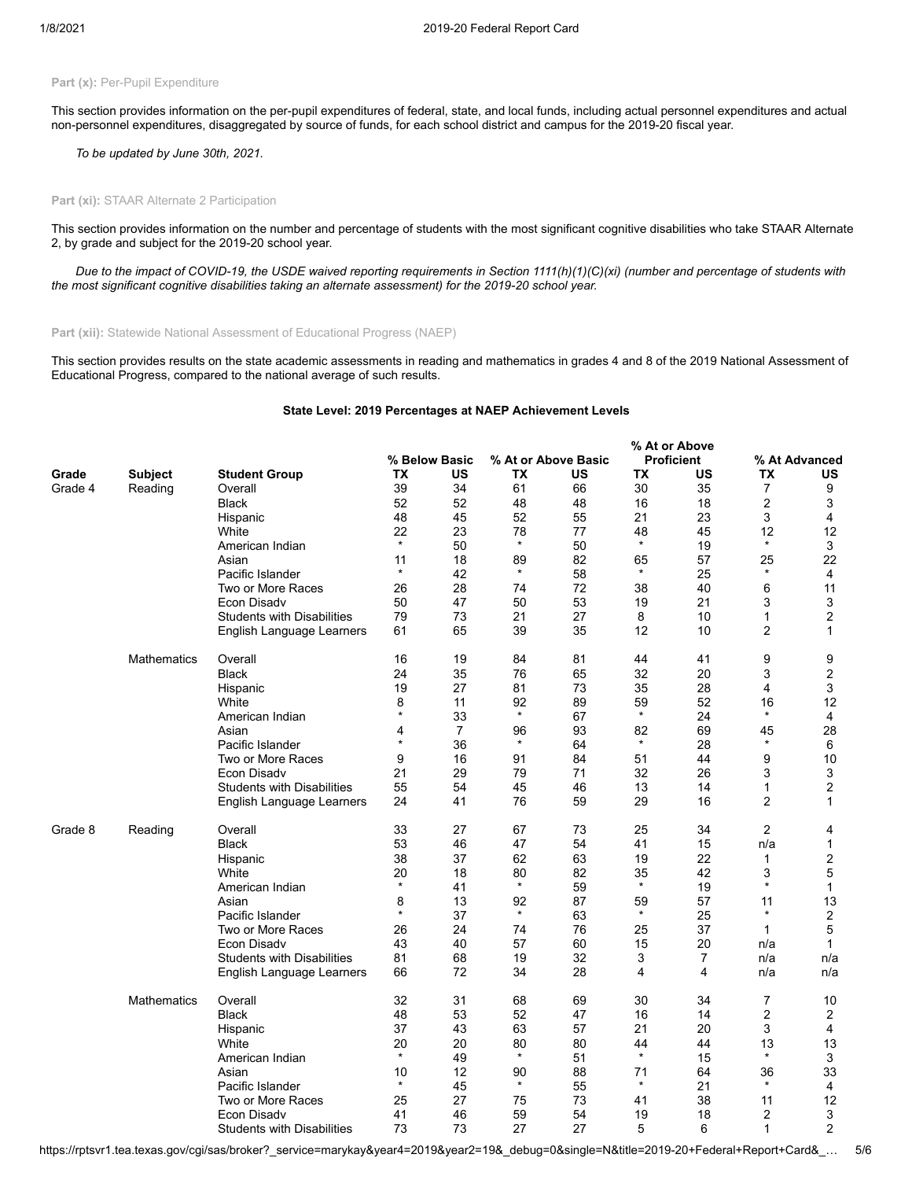# Part (x): Per-Pupil Expenditure

This section provides information on the per-pupil expenditures of federal, state, and local funds, including actual personnel expenditures and actual non-personnel expenditures, disaggregated by source of funds, for each school district and campus for the 2019-20 fiscal year.

*To be updated by June 30th, 2021.*

#### **Part (xi):** STAAR Alternate 2 Participation

This section provides information on the number and percentage of students with the most significant cognitive disabilities who take STAAR Alternate 2, by grade and subject for the 2019-20 school year.

*Due to the impact of COVID-19, the USDE waived reporting requirements in Section 1111(h)(1)(C)(xi) (number and percentage of students with the most significant cognitive disabilities taking an alternate assessment) for the 2019-20 school year.*

Part (xii): Statewide National Assessment of Educational Progress (NAEP)

This section provides results on the state academic assessments in reading and mathematics in grades 4 and 8 of the 2019 National Assessment of Educational Progress, compared to the national average of such results.

# **State Level: 2019 Percentages at NAEP Achievement Levels**

**% At or Above**

|         |                    |                                   |         |                |         |                     | <b>% At or Above</b> |                   |                |                |
|---------|--------------------|-----------------------------------|---------|----------------|---------|---------------------|----------------------|-------------------|----------------|----------------|
|         |                    |                                   |         | % Below Basic  |         | % At or Above Basic |                      | <b>Proficient</b> |                | % At Advanced  |
| Grade   | <b>Subject</b>     | <b>Student Group</b>              | ТX      | US             | TX      | US                  | TX                   | US                | ТX             | US             |
| Grade 4 | Reading            | Overall                           | 39      | 34             | 61      | 66                  | 30                   | 35                | 7              | 9              |
|         |                    |                                   | 52      | 52             |         |                     |                      |                   | 2              | 3              |
|         |                    | Black                             |         |                | 48      | 48                  | 16                   | 18                |                |                |
|         |                    | Hispanic                          | 48      | 45             | 52      | 55                  | 21                   | 23                | 3              | 4              |
|         |                    | White                             | 22      | 23             | 78      | 77                  | 48                   | 45                | 12             | 12             |
|         |                    | American Indian                   | $\star$ | 50             | $\star$ | 50                  | $\star$              | 19                | $\star$        | 3              |
|         |                    | Asian                             | 11      | 18             | 89      | 82                  | 65                   | 57                | 25             | 22             |
|         |                    | Pacific Islander                  | $\star$ | 42             | $\star$ | 58                  | $\star$              | 25                | $\star$        | $\overline{4}$ |
|         |                    | Two or More Races                 | 26      | 28             | 74      | 72                  | 38                   | 40                | 6              | 11             |
|         |                    | Econ Disadv                       | 50      | 47             | 50      | 53                  | 19                   | 21                | 3              | 3              |
|         |                    | <b>Students with Disabilities</b> | 79      | 73             | 21      | 27                  | 8                    | 10                | 1              | $\overline{2}$ |
|         |                    |                                   | 61      | 65             | 39      | 35                  | 12                   | 10                | $\overline{2}$ | $\mathbf{1}$   |
|         |                    | English Language Learners         |         |                |         |                     |                      |                   |                |                |
|         | <b>Mathematics</b> | Overall                           | 16      | 19             | 84      | 81                  | 44                   | 41                | 9              | 9              |
|         |                    | <b>Black</b>                      | 24      | 35             | 76      | 65                  | 32                   | 20                | 3              | $\overline{2}$ |
|         |                    | Hispanic                          | 19      | 27             | 81      | 73                  | 35                   | 28                | 4              | 3              |
|         |                    | White                             | 8       | 11             | 92      | 89                  | 59                   | 52                | 16             | 12             |
|         |                    | American Indian                   | $\star$ | 33             | $\star$ | 67                  | $\star$              | 24                | $\star$        | 4              |
|         |                    | Asian                             | 4       | $\overline{7}$ | 96      | 93                  | 82                   | 69                | 45             | 28             |
|         |                    | Pacific Islander                  | $\star$ | 36             | $\star$ | 64                  | $\star$              | 28                | $\star$        | 6              |
|         |                    | Two or More Races                 | 9       | 16             | 91      | 84                  | 51                   | 44                | 9              | 10             |
|         |                    | Econ Disadv                       | 21      | 29             | 79      | 71                  | 32                   | 26                | 3              | 3              |
|         |                    |                                   | 55      | 54             | 45      | 46                  | 13                   | 14                | $\mathbf{1}$   | $\overline{2}$ |
|         |                    | <b>Students with Disabilities</b> |         |                |         |                     |                      |                   |                |                |
|         |                    | English Language Learners         | 24      | 41             | 76      | 59                  | 29                   | 16                | $\overline{c}$ | $\mathbf{1}$   |
| Grade 8 | Reading            | Overall                           | 33      | 27             | 67      | 73                  | 25                   | 34                | $\overline{c}$ | 4              |
|         |                    | Black                             | 53      | 46             | 47      | 54                  | 41                   | 15                | n/a            | 1              |
|         |                    | Hispanic                          | 38      | 37             | 62      | 63                  | 19                   | 22                | $\mathbf{1}$   | $\overline{2}$ |
|         |                    | White                             | 20      | 18             | 80      | 82                  | 35                   | 42                | 3              | 5              |
|         |                    | American Indian                   | $\star$ | 41             | $\star$ | 59                  | $\star$              | 19                | $\star$        | $\mathbf{1}$   |
|         |                    | Asian                             | 8       | 13             | 92      | 87                  | 59                   | 57                | 11             | 13             |
|         |                    | Pacific Islander                  | *       | 37             | $\star$ | 63                  | $\star$              | 25                | $\star$        | $\overline{2}$ |
|         |                    |                                   |         |                |         |                     |                      |                   |                |                |
|         |                    | Two or More Races                 | 26      | 24             | 74      | 76                  | 25                   | 37                | 1              | 5              |
|         |                    | Econ Disadv                       | 43      | 40             | 57      | 60                  | 15                   | 20                | n/a            | $\mathbf{1}$   |
|         |                    | <b>Students with Disabilities</b> | 81      | 68             | 19      | 32                  | 3                    | $\overline{7}$    | n/a            | n/a            |
|         |                    | English Language Learners         | 66      | 72             | 34      | 28                  | 4                    | 4                 | n/a            | n/a            |
|         | <b>Mathematics</b> | Overall                           | 32      | 31             | 68      | 69                  | 30                   | 34                | 7              | 10             |
|         |                    | <b>Black</b>                      | 48      | 53             | 52      | 47                  | 16                   | 14                | 2              | $\overline{c}$ |
|         |                    | Hispanic                          | 37      | 43             | 63      | 57                  | 21                   | 20                | 3              | 4              |
|         |                    | White                             | 20      | 20             | 80      | 80                  | 44                   | 44                | 13             | 13             |
|         |                    | American Indian                   | $\star$ | 49             | $\star$ | 51                  | $\star$              | 15                | $\star$        | 3              |
|         |                    | Asian                             | 10      | 12             | 90      | 88                  | 71                   | 64                | 36             | 33             |
|         |                    | Pacific Islander                  | $\star$ | 45             | $\star$ | 55                  | $\star$              | 21                | $\star$        | 4              |
|         |                    |                                   |         |                |         |                     |                      |                   |                |                |
|         |                    | Two or More Races                 | 25      | 27             | 75      | 73                  | 41                   | 38                | 11             | 12             |
|         |                    | Econ Disadv                       | 41      | 46             | 59      | 54                  | 19                   | 18                | $\overline{2}$ | 3              |
|         |                    | <b>Students with Disabilities</b> | 73      | 73             | 27      | 27                  | 5                    | 6                 | $\mathbf{1}$   | $\overline{2}$ |